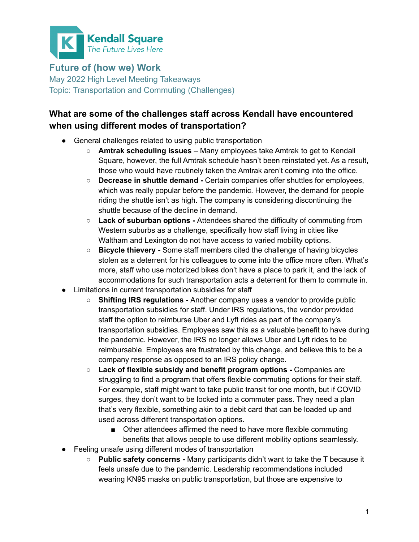

## **Future of (how we) Work**

May 2022 High Level Meeting Takeaways Topic: Transportation and Commuting (Challenges)

## **What are some of the challenges staff across Kendall have encountered when using different modes of transportation?**

- General challenges related to using public transportation
	- **Amtrak scheduling issues** Many employees take Amtrak to get to Kendall Square, however, the full Amtrak schedule hasn't been reinstated yet. As a result, those who would have routinely taken the Amtrak aren't coming into the office.
	- **Decrease in shuttle demand -** Certain companies offer shuttles for employees, which was really popular before the pandemic. However, the demand for people riding the shuttle isn't as high. The company is considering discontinuing the shuttle because of the decline in demand.
	- **Lack of suburban options -** Attendees shared the difficulty of commuting from Western suburbs as a challenge, specifically how staff living in cities like Waltham and Lexington do not have access to varied mobility options.
	- **Bicycle thievery -** Some staff members cited the challenge of having bicycles stolen as a deterrent for his colleagues to come into the office more often. What's more, staff who use motorized bikes don't have a place to park it, and the lack of accommodations for such transportation acts a deterrent for them to commute in.
- Limitations in current transportation subsidies for staff
	- **Shifting IRS regulations -** Another company uses a vendor to provide public transportation subsidies for staff. Under IRS regulations, the vendor provided staff the option to reimburse Uber and Lyft rides as part of the company's transportation subsidies. Employees saw this as a valuable benefit to have during the pandemic. However, the IRS no longer allows Uber and Lyft rides to be reimbursable. Employees are frustrated by this change, and believe this to be a company response as opposed to an IRS policy change.
	- **Lack of flexible subsidy and benefit program options -** Companies are struggling to find a program that offers flexible commuting options for their staff. For example, staff might want to take public transit for one month, but if COVID surges, they don't want to be locked into a commuter pass. They need a plan that's very flexible, something akin to a debit card that can be loaded up and used across different transportation options.
		- Other attendees affirmed the need to have more flexible commuting benefits that allows people to use different mobility options seamlessly.
- Feeling unsafe using different modes of transportation
	- **Public safety concerns -** Many participants didn't want to take the T because it feels unsafe due to the pandemic. Leadership recommendations included wearing KN95 masks on public transportation, but those are expensive to